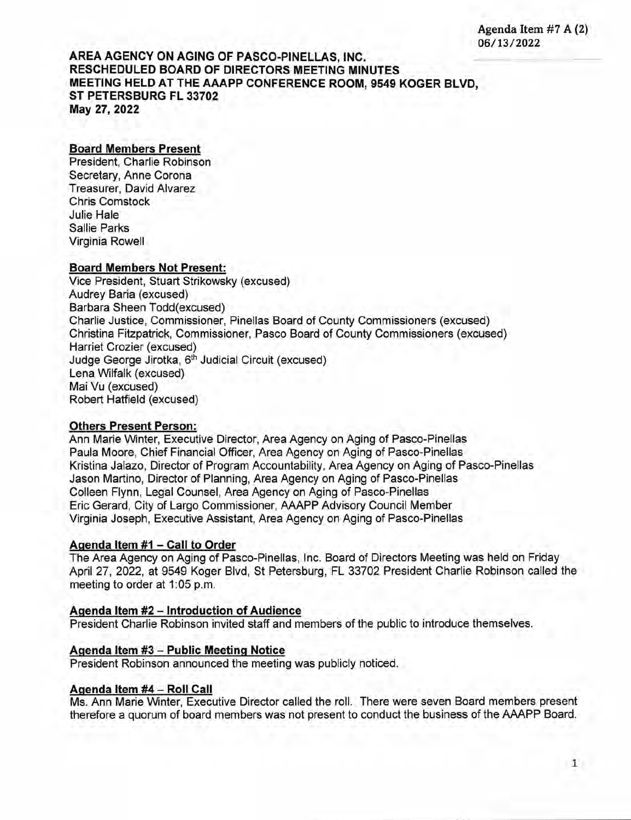**AREA AGENCY ON AGING OF PASCO-PINELLAS, INC. RESCHEDULED BOARD OF DIRECTORS MEETING MINUTES MEETING HELD AT THE AAAPP CONFERENCE ROOM, 9549 KOGER BLVD, ST PETERSBURG FL 33702 May 27, 2022** 

## **Board Members Present**

President, Charlie Robinson Secretary, Anne Corona Treasurer, David Alvarez Chris Comstock Julie Hale Sallie Parks Virginia Rowell

## **Board Members Not Present:**

Vice President, Stuart Strikowsky (excused) Audrey Baria (excused) Barbara Sheen Todd(excused) Charlie Justice, Commissioner, Pinellas Board of County Commissioners (excused) Christina Fitzpatrick, Commissioner, Pasco Board of County Commissioners (excused) Harriet Crozier (excused) Judge George Jirotka, 6<sup>th</sup> Judicial Circuit (excused) Lena Wilfalk (excused) Mai Vu (excused) Robert Hatfield (excused)

## **Others Present Person:**

Ann Marie Winter, Executive Director, Area Agency on Aging of Pasco-Pinellas Paula Moore, Chief Financial Officer, Area Agency on Aging of Pasco-Pinellas Kristina Jalazo, Director of Program Accountability, Area Agency on Aging of Pasco-Pinellas Jason Martino, Director of Planning, Area Agency on Aging of Pasco-Pinellas Colleen Flynn, Legal Counsel, Area Agency on Aging of Pasco-Pinellas Eric Gerard, City of Largo Commissioner, AAAPP Advisory Council Member Virginia Joseph, Executive Assistant, Area Agency on Aging of Pasco-Pinellas

## **Agenda Item #1 — Call to Order**

The Area Agency on Aging of Pasco-Pinellas, Inc. Board of Directors Meeting was held on Friday April 27, 2022, at 9549 Koger Blvd, St Petersburg, FL 33702 President Charlie Robinson called the meeting to order at 1:05 p.m.

#### **Agenda Item #2 — Introduction of Audience**

President Charlie Robinson invited staff and members of the public to introduce themselves.

## **Agenda Item #3 — Public Meeting Notice**

President Robinson announced the meeting was publicly noticed.

#### **Agenda Item #4— Roll Call**

Ms. Ann Marie Winter, Executive Director called the roll. There were seven Board members present therefore a quorum of board members was not present to conduct the business of the AAAPP Board.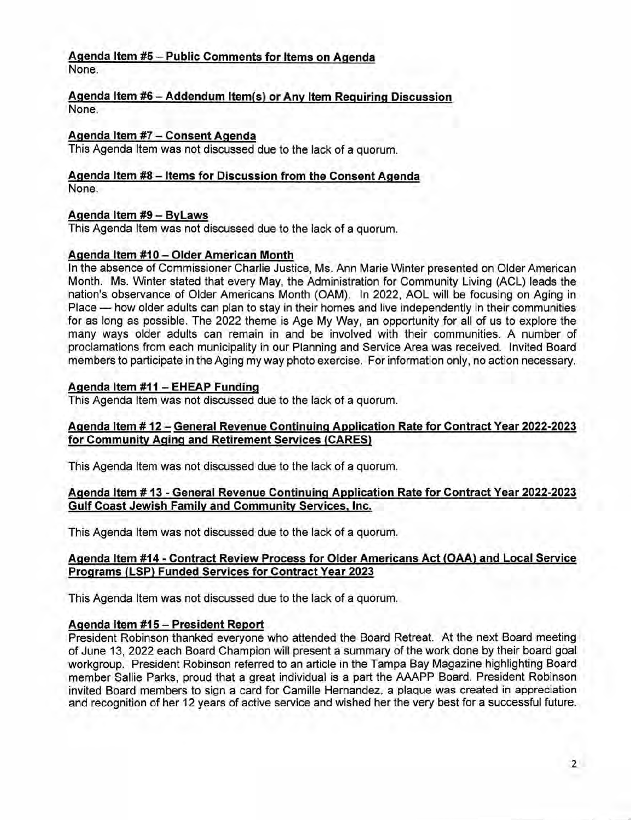#### **Agenda Item #5 — Public Comments for Items on Agenda**  None.

## **Agenda Item #6 — Addendum Item(s) or Any Item Requiring Discussion**  None.

# **Agenda Item** #7 — **Consent Agenda**

This Agenda Item was not discussed due to the lack of a quorum.

#### **Agenda Item #8 — Items for Discussion from the Consent Agenda**  None.

# **Agenda Item #9— ByLaws**

This Agenda Item was not discussed due to the lack of a quorum.

# **Agenda Item #10 — Older American Month**

In the absence of Commissioner Charlie Justice, Ms. Ann Marie Winter presented on Older American Month. Ms. Winter stated that every May, the Administration for Community Living (ACL) leads the nation's observance of Older Americans Month (OAM). In 2022, AOL will be focusing on Aging in Place — how older adults can plan to stay in their homes and live independently in their communities for as long as possible. The 2022 theme is Age My Way, an opportunity for all of us to explore the many ways older adults can remain in and be involved with their communities. A number of proclamations from each municipality in our Planning and Service Area was received. Invited Board members to participate in the Aging my way photo exercise. For information only, no action necessary.

# **Agenda Item #11 — EHEAP Funding**

This Agenda Item was not discussed due to the lack of a quorum.

# **Agenda Item # 12** — **General Revenue Continuing Application Rate for Contract Year 2022-2023**  for Community Aging and Retirement Services (CARES)

This Agenda Item was not discussed due to the lack of a quorum.

# **Agenda Item # 13** - **General Revenue Continuing Application Rate for Contract Year 2022-2023 Gulf Coast Jewish Family and Community Services, Inc.**

This Agenda Item was not discussed due to the lack of a quorum.

# **Agenda Item #14 - Contract Review Process for Older Americans Act (OAA) and Local Service Programs (LSP) Funded Services for Contract Year 2023**

This Agenda Item was not discussed due to the lack of a quorum.

# **Agenda Item #15 — President Report**

President Robinson thanked everyone who attended the Board Retreat. At the next Board meeting of June 13, 2022 each Board Champion will present a summary of the work done by their board goal workgroup. President Robinson referred to an article in the Tampa Bay Magazine highlighting Board member Sallie Parks, proud that a great individual is a part the AAAPP Board. President Robinson invited Board members to sign a card for Camille Hernandez, a plaque was created in appreciation and recognition of her 12 years of active service and wished her the very best for a successful future.